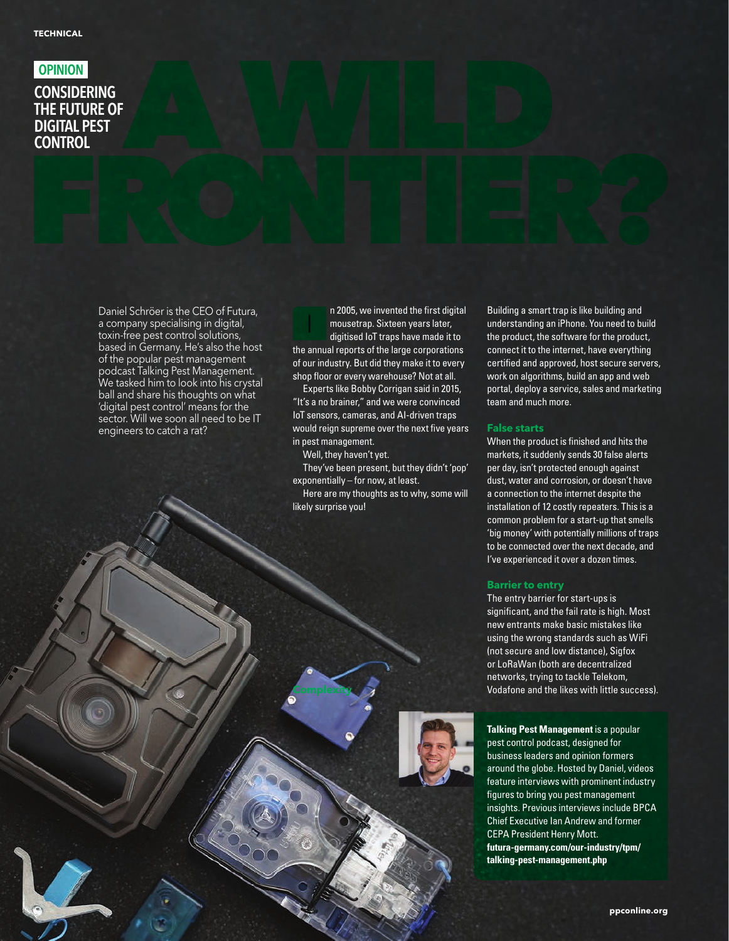# **OPINION**

# **CONSIDERING** THE FUTURE OF DIGITAL PEST **CONTROL**

Daniel Schröer is the CEO of Futura, a company specialising in digital, toxin-free pest control solutions, based in Germany. He's also the host of the popular pest management podcast Talking Pest Management. We tasked him to look into his crystal ball and share his thoughts on what 'digital pest control' means for the sector. Will we soon all need to be IT engineers to catch a rat?

n 2005, we invented the first digital mousetrap. Sixteen years later, digitised IoT traps have made it to the annual reports of the large corporations of our industry. But did they make it to every shop floor or every warehouse? Not at all. I

Experts like Bobby Corrigan said in 2015, "It's a no brainer," and we were convinced IoT sensors, cameras, and AI-driven traps would reign supreme over the next five years in pest management.

Well, they haven't yet.

**Complexity**

They've been present, but they didn't 'pop' exponentially – for now, at least.

Here are my thoughts as to why, some will likely surprise you!



### **False starts**

When the product is finished and hits the markets, it suddenly sends 30 false alerts per day, isn't protected enough against dust, water and corrosion, or doesn't have a connection to the internet despite the installation of 12 costly repeaters. This is a common problem for a start-up that smells 'big money' with potentially millions of traps to be connected over the next decade, and I've experienced it over a dozen times.

#### **Barrier to entry**

The entry barrier for start-ups is significant, and the fail rate is high. Most new entrants make basic mistakes like using the wrong standards such as WiFi (not secure and low distance), Sigfox or LoRaWan (both are decentralized networks, trying to tackle Telekom, Vodafone and the likes with little success).

**Talking Pest Management** is a popular pest control podcast, designed for business leaders and opinion formers around the globe. Hosted by Daniel, videos feature interviews with prominent industry figures to bring you pest management insights. Previous interviews include BPCA Chief Executive Ian Andrew and former CEPA President Henry Mott. **[futura-germany.com/our-industry/tpm/](http://futura-germany.com/our-industry/tpm/talking-pest-management.php) [talking-pest-management.php](http://futura-germany.com/our-industry/tpm/talking-pest-management.php)**